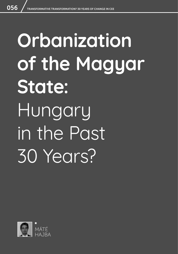# **Orbanization of the Magyar State:**  Hungary in the Past 30 Years?

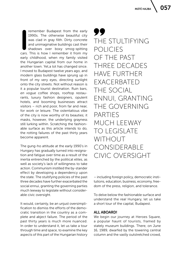**IPPOSE THE STAR CONCRETERT SCHOOLS THE ORIGINAL CHANGE STAR CONTINUITY CONCRETED AND UNITARY STAR CONTINUITY STAR CONTINUITY STAR CONTINUITY STAR CONTINUITY CATS. This is how I remember it from my** remember Budapest from the early 1990s. The otherwise beautiful city was clad in gray filth. Dirty concrete and unimaginative buildings cast their shadows over boxy smog-spitting early childhood, when my family visited the Hungarian capital from our home in another town. Yet,a lot has changed since. I moved to Budapest twelve years ago, and modern glass buildings have sprung up in front of my very eyes, directing sunlight onto the city streets. Not without reason is it a popular tourist destination. Ruin bars, *en vogue* coffee shops, rooftop restaurants, luxury fashion designers, opulent hotels, and booming businesses attract visitors – rich and poor, from far and near, for work or leisure. The ostentatious vibe of the city is now worthy of its beauties; it masks, however, the underlying grayness still lurking within. Scratching the fashionable surface as this article intends to do, the rotting failures of the past thirty years become apparent.

The gung-ho attitude at the early 1990's in Hungary has gradually turned into resignation and fatigue over time as a result of the inertia entrenched by the political elites, as well as society's lack of willingness to take action. Communism instilled the by-stander effect by developing a dependency upon the state. The stultifying policies of the past three decades have further exacerbated the social ennui, granting the governing parties much leeway to legislate without considerable civic oversight.

It would, certainly, be an unjust oversimplification to dismiss the efforts of the democratic transition in the country as a complete and abject failure. The period of the past thirty years is much more nuanced. In order to understand it, let us take a tour through time and space, to examine the key aspects of this part of the Hungarian history

99 THE STULTIFYING POLICIES OF THE PAST THREE DECADES HAVE FURTHER EXACERBATED THE SOCIAL ENNUI, GRANTING THE GOVERNING PARTIES MUCH LEEWAY TO LEGISLATE WITHOUT CONSIDERABLE CIVIC OVERSIGHT

– including foreign policy, democratic institutions, education, business, economy, freedom of the press, religion, and tolerance.

To delve below the fashionable surface and understand the *real* Hungary, let us take a short tour of the capital, Budapest.

#### ALL ABOARD!

We begin our journey at Heroes Square, a popular haunt of tourists, framed by stately museum buildings. There, on June 16, 1989, dwarfed by the towering central column and the vastly outstretched crowd,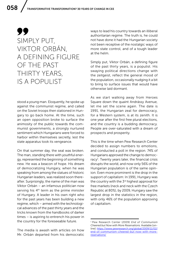## 99 SIMPLY PUT, VIKTOR ORBÁN, A DEFINING FIGURE OF THE PAST THIRTY YEARS, IS A POPULIST

stood a young man. Eloquently, he spoke up against the communist regime, and called on the Soviet troops then stationed in Hungary to go back home. At the time, such an open opposition broke to surface the animosity of the public towards the communist governments, a strongly nurtured sentiment which Hungarians were forced to harbor within themselves secretly, lest the state apparatus took its vengeance.

On that summer day, the seal was broken. The man, standing there with youthful energy, represented the beginning of something new. He was a beacon of hope. His dream of democratizing Hungary, when he was speaking from among the statues of historic Hungarian leaders, was realized soon thereafter. Surprisingly, the name of the man was Viktor Orbán – an infamous politician now serving his  $4<sup>th</sup>$  term as the prime minister of Hungary. A leader in his own right who for the past years has been building a new regime, which – armed with the technological advances of the past thirty years and the tricks known from the handbooks of darker times – is aspiring to entrench his power in the country for the foreseeable future.

The media is awash with articles on how Mr. Orbán departed from his democratic ways to lead his country towards an illiberal authoritarian regime. The truth is, he could not have done it had the Hungarian society not been receptive of the nostalgic ways of more state control, and of a tough leader at the helm.

Simply put, Viktor Orbán, a defining figure of the past thirty years, is a populist. His swaying political directions change with the zeitgeist, reflect the general mood of the population, occasionally nudging it a bit to bring to surface issues that would have otherwise laid dormant.

As we start walking away from Heroes Square down the quaint Andrássy Avenue, let me set the scene again. The date is 1991, the Hungarian zeal for democracy, for a Western system, is at its zenith. It is one year after the first free plural elections, and the country is a budding democracy. People are over-saturated with a dream of prospects and prosperity.

This is the time when Pew Research Center decided to assign numbers to emotions, and conducted a poll in the region. 74% of Hungarians approved the change to democracy<sup>1</sup>. Twenty years later, the financial crisis disrupts the world, and now only 56% of the Hungarian population is of the same opinion. Even more prominent is the drop in the support of capitalism: In 1991, Hungary was the country with the 3<sup>rd</sup> highest approval for free markets (neck and neck with the Czech Republic at 80%), by 2009, Hungary saw the largest drop in the statistics in the region, with only 46% of the population approving of capitalism.

<sup>1</sup> Pew Research Center (2009) *End of Communism Cheered but Now with More Reservations.* Available [online]: [https://www.pewresearch.org/global/2009/11/02/](https://www.pewresearch.org/global/2009/11/02/end-of-communism-cheered-but-now-with-more-reservations/ ) [end-of-communism-cheered-but-now-with-more](https://www.pewresearch.org/global/2009/11/02/end-of-communism-cheered-but-now-with-more-reservations/ )[reservations/](https://www.pewresearch.org/global/2009/11/02/end-of-communism-cheered-but-now-with-more-reservations/ )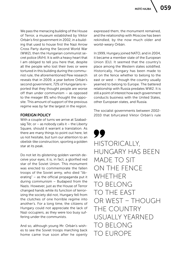We pass the menacing building of the House of Terror, a museum established by Viktor Orbán's first government in 2002, in a building that used to house first the Nazi Arrow Cross Party during the Second World War (WW2), then the Hungarian communist secret police (ÁVH). It is with a heavy heart that I am obliged to tell you here that, despite all the people who lost their lives or were tortured in this building during the communist rule, the aforementioned Pew research reveals that in 2009, a year before Orbán's second government, 72% of Hungarians reported that they thought people are worse off than under communism – as opposed to the meager 8% who thought the opposite. This amount of support of the previous regime was by far the largest in the region.

#### FOREIGN POLICY

With a couple of turns we arrive at Szabadság Tér, or – as nobody calls it – the Liberty Square, should it warrant a translation. As there are many things to point out here, let us not hesitate, but turn our attention to an obelisk-like construction, sporting a golden star at its peak.

Do not let its glistening golden varnish deceive your eyes, it is, in fact, a glorified red star of the Soviet Union. This monument was erected to commemorate the fallen troops of the Soviet army, who died "liberating" – as the official propaganda put it during communism – Budapest from the Nazis. However, just as the House of Terror changed hands while its function of terrorizing the society did not, Hungary fell from the clutches of one horrible regime into another's. For a long time, the citizens of Hungary could not appreciate the lack of Nazi occupiers, as they were too busy suffering under the communists.

And so, although young Mr. Orbán's wishes to see the Soviet troops marching back home came true soon after he openly expressed them, the monument remained, and the relationship with Moscow has been rekindled, by the now much older and world-weary Orbán.

In 1999, Hungary joined NATO, and in 2004, it became a member state of the European Union (EU). It seemed that the country's place among the Western states solidified. Historically, Hungary has been made to sit on the fence whether to belong to the east or west – though the country usually yearned to belong to Europe. The battered relationship with Russia predates WW2. It is still a point of interest how each government conducts business with the United States, other European states, and Russia.

The socialist governments between 2002- 2010 that bifurcated Viktor Orbán's rule

99 HISTORICALLY, HUNGARY HAS BEEN MADE TO SIT ON THE FENCE WHETHER TO BELONG TO THE EAST OR WEST – THOUGH THE COUNTRY USUALLY YEARNED TO BELONG TO EUROPE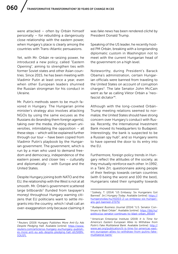were attacked – often by Orbán himself personally – for rebuilding a dangerously close relationship with the eastern power, when Hungary's place is clearly among the countries with Trans-Atlantic persuasions.

Yet, with Mr. Orbán re-seizing power, he introduced a new policy, called "Eastern Opening", aiming to strengthen ties with former Soviet states and other Asian countries. Since 2015, he has been meeting with Vladimir Putin at least once a year, even when other European leaders shunned the Russian strongman for his conduct in Ukraine.

Mr. Putin's methods seem to be much favored in Hungary. The Hungarian prime minister's strategy also involves attacking NGOs by using the same excuses as the Russians do (branding them foreign agents), taking over the media, shutting down universities, intimidating the opposition – all these steps – which will be explained further through our tour – have been copied from Vladimir Putin's playbook by the Hungarian government. The government, which is run by a man who used to demand freedom and democracy, independence of the eastern power, and closer ties – culturally and diplomatically – with Europe and the United States.

Despite Hungary joining both NATO and the EU, the relationship with the West is not at all smooth. Mr. Orbán's government scattered large billboards<sup>2</sup> (funded from taxpayer's money) throughout Hungary warning citizens that EU politicians want to settle migrants into the country, which I shall call an over-exaggeration only because claiming it

was *fake news* has been rendered *cliché* by President Donald Trump.

Speaking of the US leader, he recently hosted PM Orbán, breaking with a longstanding diplomatic custom in Washington not to meet with the current Hungarian head of the government on a high level.

Noteworthy, during President's Barack Obama's administration, certain Hungarian officials were banned from traveling to the United States on account of corruption charges<sup>3</sup>. The late Senator John McCain went as far as calling Viktor Orbán a "neofascist dictator"4.

Although with the long-coveted Orbán-Trump meeting relations seemed to normalize, the United States should have strong concern over Hungary's conduct with Russia. Recently, the International Investment Bank moved its headquarters to Budapest. Interestingly, the bank is suspected to be a Russian spy hub<sup>5</sup>, and so Hungary seems to have opened the door to its entry into the EU.

Furthermore, foreign policy trends in Hungary reflect the attitudes of the society, as they mutually reinforce each other. In 1992, in a Tárki Zrt. questionnaire asking people of their feelings towards certain countries (with 0 being the worst and 100 the best), Hungarians rated their sympathy towards

<sup>2</sup> Reuters (2019) H*ungary Publishes More Anti-Eu Ads Despite Pledging Halt.* Available [online]: [https://www.](https://www.reuters.com/article/us-hungary-eu/hungary-publishes-more-anti-eu-ads-despite-pledging-halt-idUSKBN1QU1FL) [reuters.com/article/us-hungary-eu/hungary-publish](https://www.reuters.com/article/us-hungary-eu/hungary-publishes-more-anti-eu-ads-despite-pledging-halt-idUSKBN1QU1FL)[es-more-anti-eu-ads-despite-pledging-halt-idUSKBN-](https://www.reuters.com/article/us-hungary-eu/hungary-publishes-more-anti-eu-ads-despite-pledging-halt-idUSKBN1QU1FL)[1QU1FL](https://www.reuters.com/article/us-hungary-eu/hungary-publishes-more-anti-eu-ads-despite-pledging-halt-idUSKBN1QU1FL)

<sup>&</sup>lt;sup>3</sup> Székely, T. (2014) "US Embassy: Six Hungarians Got Banned". [in:] *Hungary Today*. Available [online]: [https://](https://hungarytoday.hu/41003-2-us-embassy-six-hungarians-got-banned-27275/) [hungarytoday.hu/41003-2-us-embassy-six-hungari](https://hungarytoday.hu/41003-2-us-embassy-six-hungarians-got-banned-27275/)[ans-got-banned-27275/](https://hungarytoday.hu/41003-2-us-embassy-six-hungarians-got-banned-27275/)

<sup>4</sup> *Budapest Business Journal* (2014) "U.S. Senator Continues to Blast Orbán". Available [online]: [https://bbj.hu/](https://bbj.hu/politics/us-senator-continues-to-blast-orban_89164) [politics/us-senator-continues-to-blast-orban\\_89164](https://bbj.hu/politics/us-senator-continues-to-blast-orban_89164)

<sup>5</sup> American Enterprise Institute (2019) *It Is Time for America's Eastern European Allies to Withdraw from Putin's Fake Multilateral Bank*. Available [online]: [http://](http://www.aei.org/publication/it-is-time-for-americas-eastern-european-allies-to-withdraw-from-putins-fake-multilateral-bank/) [www.aei.org/publication/it-is-time-for-americas-east](http://www.aei.org/publication/it-is-time-for-americas-eastern-european-allies-to-withdraw-from-putins-fake-multilateral-bank/)[ern-european-allies-to-withdraw-from-putins-fake](http://www.aei.org/publication/it-is-time-for-americas-eastern-european-allies-to-withdraw-from-putins-fake-multilateral-bank/)[multilateral-bank/](http://www.aei.org/publication/it-is-time-for-americas-eastern-european-allies-to-withdraw-from-putins-fake-multilateral-bank/)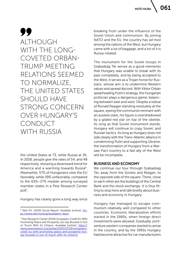## 99 **AITHOUGH** WITH THE LONG-COVETED ORBÁN-TRUMP MEETING RELATIONS SEEMED TO NORMALIZE, THE UNITED STATES SHOULD HAVE STRONG CONCERN OVER HUNGARY'S CONDUCT WITH RUSSIA

the United States at 73, while Russia at 36. In 2018, people give the rates of 54, and 48 respectively, showing a downward trend for America and a warming towards Russia<sup>6</sup>. Meanwhile, 57% of Hungarians view the EU favorably, while 39% unfavorably, compared to the 63%–37% median among surveyed member states in a Pew Research Center poll<sup>7</sup>.

Hungary has clearly gone a long way since

breaking from under the influence of the Soviet Union and communism. By joining NATO and the EU, the country has set foot among the nations of the West, but Hungary came with a lot of baggage, and a lot of it is Russia-related.

The monument for the Soviet troops in Szabadság Tér serves as a good memento that Hungary was unable to break with its past completely, and by being accepted to the West, it serves as a Trojan horse for Russians, whose aim is to undermine Western values and spread discord. With Viktor Orbán spearheading Putin's strategy, the Hungarian politician plays a dangerous game, balancing between east and west. Despite a statue of Ronald Reagan standing resolutely at the square, eyeing the communist remnant with an austere stare, his figure is overshadowed by a gilded red star on top of the obelisk. As long as that Soviet monument stands, Hungary will continue to copy Soviet, and Russian tactics. As long as Hungary does not side clearly with the Trans-Atlantic alliance in condemning Putin and supporting Ukraine, the transformation of Hungary from a Warsaw Pact country to a fast ally of the West will be incomplete.

#### BUSINESS AND ECONOMY

We continue our tour through Szabadság Tér, away from the Soviets and Reagan, to the opposite side of the square. There, close to each other are the buildings of the Central Bank and the stock exchange. It is thus fitting to stop here and talk briefly about business and economy in Hungary.

Hungary has managed to escape communism relatively well compared to other countries. Economic liberalization efforts started in the 1980s, when foreign direct investments were allowed. Gradually, jointventure western companies started to arrive in the country, and by the 1990s Hungary had become attractive for car manufacturers

<sup>6</sup> Tárki Zrt. (2019) *Social Report*. Available [online]: [htt](https://www.tarki.hu/eng/tarsadalmi-riport)[ps://www.tarki.hu/eng/tarsadalmi-riport](https://www.tarki.hu/eng/tarsadalmi-riport)

<sup>7</sup> Pew Research Center (2019) *Europeans Credit EU With Promoting Peace and Prosperity, but Say Brussels Is Out of Touch With Its Citizens.* Available [online]: [https://](https://www.pewresearch.org/global/2019/03/19/europeans-credit-eu-with-promoting-peace-and-prosperity-but-say-brussels-is-out-of-touch-with-its-citizens/) [www.pewresearch.org/global/2019/03/19/europeans](https://www.pewresearch.org/global/2019/03/19/europeans-credit-eu-with-promoting-peace-and-prosperity-but-say-brussels-is-out-of-touch-with-its-citizens/)[credit-eu-with-promoting-peace-and-prosperity-but](https://www.pewresearch.org/global/2019/03/19/europeans-credit-eu-with-promoting-peace-and-prosperity-but-say-brussels-is-out-of-touch-with-its-citizens/)[say-brussels-is-out-of-touch-with-its-citizens/](https://www.pewresearch.org/global/2019/03/19/europeans-credit-eu-with-promoting-peace-and-prosperity-but-say-brussels-is-out-of-touch-with-its-citizens/)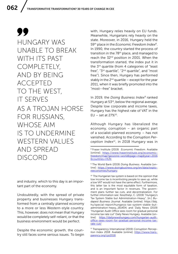99 HUNGARY WAS UNABLE TO BREAK WITH ITS PAST COMPLETELY, AND BY BEING ACCEPTED TO THE WEST, IT SERVES AS A TROJAN HORSE FOR RUSSIANS, WHOSE AIM IS TO UNDERMINE WESTERN VALUES AND SPREAD DISCORD

and industry, which to this day is an important part of the economy.

Undoubtedly, with the spread of private property and businesses Hungary transformed from a centrally planned economy to a more or less Western-style country. This, however, does not mean that Hungary would be completely self-reliant, or that the business environment would be perfect.

Despite the economic growth, the country still faces some serious issues. To begin with, Hungary relies heavily on EU funds. Meanwhile, Hungarians rely heavily on the state. Moreover, in 2016, Hungary held the 59th place in the *Economic Freedom Index8*. In 1990, the country started the process of transition in the 78<sup>th</sup> place, and managed to reach the 32<sup>nd</sup> position in 2001. When the transformation started, the index put it in the 3<sup>rd</sup> quartile (from 4 categories of "least free", "3<sup>rd</sup> quartile", "2<sup>nd</sup> quartile", and "most free"). Since then, Hungary has performed stably in the  $2^{nd}$  quartile – except for the year 2011, when it was briefly promoted into the "most--free" bracket.

In 2019, the *Doing Business Index9* ranked Hungary at 53<sup>rd</sup>, below the regional average. Despite low corporate and income taxes, Hungary has the highest rate of VAT in the EU – set at  $27\%^{10}$ .

Although Hungary has liberalized the economy, corruption – an organic part of a socialist-planned economy – has not vanished. According to the *Corruption Perception Index11*, in 2018 Hungary was in

<sup>8</sup> Fraser Institute (2019) *Economic Freedom.* Available [online]: [https://www.fraserinstitute.org/economic](https://www.fraserinstitute.org/economic-freedom/map?geozone=world&page=map&year=2016&countries=HUN)[freedom/map?geozone=world&page=map&year=2016](https://www.fraserinstitute.org/economic-freedom/map?geozone=world&page=map&year=2016&countries=HUN) [&countries=HUN](https://www.fraserinstitute.org/economic-freedom/map?geozone=world&page=map&year=2016&countries=HUN)

<sup>9</sup> The World Bank (2019) *Doing Business.* Available [online]: [https://www.doingbusiness.org/en/data/explo](https://www.doingbusiness.org/en/data/exploreeconomies/hungary)[reeconomies/hungary](https://www.doingbusiness.org/en/data/exploreeconomies/hungary)

<sup>&</sup>lt;sup>10</sup> The Hungarian tax system is based on the opinion that low income tax is incentivizing people to save up, while a low VAT would not have the same effect. Furthermore, this latter tax is the most equitable form of taxation, and is an important factor in revenues. The government plans further tax cuts, and decentralization. For further information see: Keszthelyi, C. (2019) "Hungary's Tax System Stable but Administration-Heavy", [in:] *Budapest Business Journal*. Available [online]: https://bbj. hu/special-report/hungarys-tax-system-stable-butadministration-heavy\_161404; and: Daily News (2019) "Hungarian Audit Office sees room for gradual personal income tax rate cut" Daily News Hungary. Available [online]: [https://dailynewshungary.com/hungarian-audit](https://dailynewshungary.com/hungarian-audit-office-sees-room-for-gradual-personal-income-tax-rate-cut/)[office-sees-room-for-gradual-personal-income-tax](https://dailynewshungary.com/hungarian-audit-office-sees-room-for-gradual-personal-income-tax-rate-cut/)[rate-cut/](https://dailynewshungary.com/hungarian-audit-office-sees-room-for-gradual-personal-income-tax-rate-cut/)

<sup>11</sup> Transparency International (2019) *Corruption Perception Index 2018*. Available [online]: [https://www.trans](https://www.transparency.org/cpi2018)[parency.org/cpi2018](https://www.transparency.org/cpi2018)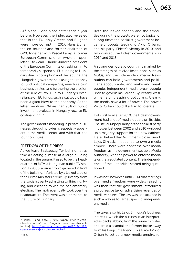$64<sup>th</sup>$  place – one place better than a year before. However, the index also revealed that in the EU, only Greece and Bulgaria were more corrupt. In 2017, Hans Eichel, the co-founder and former chairman of G20, together with Pascal Lamy, a former European Commissioner, wrote an open letter<sup>12</sup> to Jean-Claude Juncker, president of the European Commission, asking him to temporarily suspend all EU funding to Hungary due to corruption and the fact that the Hungarian government is using the money to fund political campaigns, enrich its own business circles, and furthering the erosion of the rule of law. Due to Hungary's overreliance on EU funds, such a cut would have been a giant blow to the economy. As the letter mentions: "More than 95% of public investment projects in Hungary receive EU co-financing"13.

The government's meddling in private businesses through proxies is especially apparent in the media sector, and with that, the tour continues.

#### FREEDOM OF THE PRESS

As we leave Szabadság Tér behind, let us take a fleeting glimpse at a large building located in the square. It used to be the headquarters of MTV, a Hungarian public TV station. In 2006, a large crowd gathered in front of the building, infuriated by a leaked tape of then Prime Minister Ferenc Gyurcsány from the socialist party admitting to thieving, lying, and cheating to win the parliamentary election. The mob eventually took over the headquarters. The event was detrimental to the future of Hungary.

Both the leaked speech and the atrocities during the protests were hot topics for a long time; the socialist government became unpopular leading to Viktor Orbán's, and his party, Fidesz's victory in 2010, and two consecutive Fidesz governments – in 2014 and 2018.

A strong democratic country is marked by the strength of its civic institutions, such as NGOs, and the independent media. News outlets can hold governments and politicians accountable, and make and break people. Independent media break people unfit to govern (as Ferenc Gyurcsány was), while helping aspiring politicians. Clearly, the media have a lot of power. The power Viktor Orbán could ill afford to tolerate.

In its first term after 2010, the Fidesz government had a lot of media outlets on its side. The stellar unpopularity of the socialist party in power between 2002 and 2010 whipped up a majority support for the new cabinet. It also helped that Mr. Orbán's close friend, Lajos Simicska, happened to own a media empire. There were concerns over media freedom as the government set up a Media Authority, with the power to enforce media laws that regulated content. The independence of the authorities started being questioned.

It was not, however, until 2014 that red flags over media freedom were widely raised. It was then that the government introduced a progressive tax on advertising revenues of media ventures. The law was constructed in such a way as to target specific, independent media.

The taxes also hit Lajos Simicska's business interests, which the businessman interpreted as backstabbing from the prime minister, and amid a scandal, the former broke away from his long-time friend. This forced Viktor Orbán to set up a new media empire, for

<sup>12</sup> Eichel, H. and Lamy, P. (2017) "Open Letter to Jean-Claude Juncker". [in:] *Hungarian Spectrum.* Available [online]: [http://hungarianspectrum.org/2017/11/28/](http://hungarianspectrum.org/2017/11/28/open-letter-to-jean-claude-juncker/) [open-letter-to-jean-claude-juncker/](http://hungarianspectrum.org/2017/11/28/open-letter-to-jean-claude-juncker/)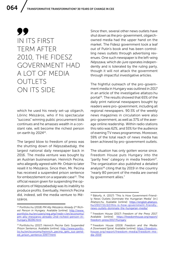### 99 IN ITS FIRST TERM AFTER 2010, THE FIDESZ GOVERNMENT HAD A LOT OF MEDIA OUTLETS ON ITS SIDE

which he used his newly set-up oligarch, Lőrinc Mészáros, who if his spectacular "success" winning public procurement bids continues and he amasses wealth in a constant rate, will become the richest person on earth by 202414.

The largest blow to freedom of press was the shutting down of *Népszabadság*, the largest national daily newspaper back in 2016. The media venture was bought by an Austrian businessman, Heinrich Pecina, who allegedly agreed with Mr. Orbán to later resell it to Mészáros. Since then, Mr. Pecina has received a suspended prison sentence for embezzlement on a separate case<sup>15</sup>. The official reason given for suspending the operations of *Népszabadság* was its inability to produce profits. Eventually, Heinrich Pecina did, indeed, sell the media venture to Mészáros.

Since then, several other news outlets have shut down as the pro-government, oligarchowned media had the upper hand on the market. The Fidesz government took a leaf out of Putin's book and has been controlling news outlets through advertising revenues. One such newspaper is the left-wing *Népszava*, which *de-jure* operates independently and is tolerated by the ruling party, though it will not attack the government through impactful investigative articles.

The frightful outreach of the pro-government media in Hungary was outlined in 2017 in an article of the investigative atlatszo.hu portal<sup>16</sup>. The results showed that 65% of the daily print national newspapers bought by readers were pro-government, including all regional newspapers. 90.5% of the weekly news magazines in circulation were also pro-government, as well as 37% of the average online readership. Within radio stations this ratio was 62%, and 55% for the audience of evening TV news programmes. Moreover, 59% of the total reach of news media has been achieved by pro-government outlets.

The situation has only gotten worse since. Freedom House puts Hungary into the "partly free" category in media freedom<sup>17</sup>. The organization also published a detailed analysis $18$  citing that by 2019 in the country "nearly 80 percent of the media are owned by government allies."

<sup>14</sup> Portfolio.hu (2018) *PM Ally Mészáros Already 2nd Rich*est Person in Hungary. Available [online]: [http://www.](http://www.portfolio.hu/en/users/reg.php?redir=/en/economy/pm-ally-meszaros-already-2nd-richest-person-in-hungary.36196.html) [portfolio.hu/en/users/reg.php?redir=/en/economy/](http://www.portfolio.hu/en/users/reg.php?redir=/en/economy/pm-ally-meszaros-already-2nd-richest-person-in-hungary.36196.html) [pm-ally-meszaros-already-2nd-richest-person-in](http://www.portfolio.hu/en/users/reg.php?redir=/en/economy/pm-ally-meszaros-already-2nd-richest-person-in-hungary.36196.html)[hungary.36196.html](http://www.portfolio.hu/en/users/reg.php?redir=/en/economy/pm-ally-meszaros-already-2nd-richest-person-in-hungary.36196.html)

<sup>15</sup> Portfolio.hu (2017) *Heinrich Pecina Gets Suspended Prison Sentence.* Available [online]: [http://www.portfo](http://www.portfolio.hu/en/economy/heinrich_pecina_gets_sus-pended_prison_sentence.33977.html)[lio.hu/en/economy/heinrich\\_pecina\\_gets\\_sus-pend](http://www.portfolio.hu/en/economy/heinrich_pecina_gets_sus-pended_prison_sentence.33977.html)[ed\\_prison\\_sentence.33977.html](http://www.portfolio.hu/en/economy/heinrich_pecina_gets_sus-pended_prison_sentence.33977.html)

<sup>&</sup>lt;sup>16</sup> Bátorfy, A. (2017) "This Is How Government-Friendly News Outlets Dominate the Hungarian Media" [in:] Atlatszo.hu. Available [online]: [https://english.atlatszo.](https://english.atlatszo.hu/2017/11/22/this-is-how-government-friendly-news-outlets-dominate-the-hungarian-media/) [hu/2017/11/22/this-is-how-government-friendly](https://english.atlatszo.hu/2017/11/22/this-is-how-government-friendly-news-outlets-dominate-the-hungarian-media/)[news-outlets-dominate-the-hungarian-media/](https://english.atlatszo.hu/2017/11/22/this-is-how-government-friendly-news-outlets-dominate-the-hungarian-media/)

<sup>17</sup> Freedom House (2017) *Freedom of the Press 2017.* Available [online]: [https://freedomhouse.org/report/](https://freedomhouse.org/report/freedom-press/2017/hungary) [freedom-press/2017/hungary](https://freedomhouse.org/report/freedom-press/2017/hungary)

<sup>18</sup> Freedom House (2019) *Freedom and the Media: A Downward Spiral.* Available [online]: [https://freedom](https://freedomhouse.org/report/freedom-media/freedom-media-2019)[house.org/report/freedom-media/freedom-me](https://freedomhouse.org/report/freedom-media/freedom-media-2019)[dia-2019](https://freedomhouse.org/report/freedom-media/freedom-media-2019)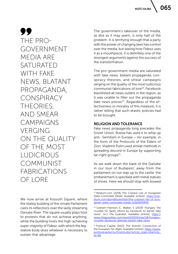99 THE PRO-GOVERNMENT MEDIA ARE SATURATED WITH FAKE NEWS, BLATANT PROPAGANDA, CONSPIRACY THEORIES, AND SMEAR CAMPAIGNS VERGING ON THE QUALITY OF THE MOST LUDICROUS **COMMUNIST** FABRICATIONS OF LORE

We now arrive at Kossuth Square, where the stately building of the ornate Parliament casts its reflections over the lazily streaming Danube River. The square usually plays host to protests that do not achieve anything, while the building hosts the high-achieving super-majority of Fidesz, with which the legislative body does whatever is necessary to sustain that advantage.

The government's takeover of the media, as dire as it may seem, is only half of the problem. It is terrifying enough that a party with the power of changing laws has control over the media, but seeing how Fidesz uses it as a mouthpiece, it is definitely one of the strongest arguments against the success of the transformation.

The pro-government media are saturated with fake news, blatant propaganda, conspiracy theories, and smear campaigns verging on the quality of the most ludicrous communist fabrications of lore<sup>19</sup>. Facebook blacklisted all news outlets in the region, as it was unable to filter out the propaganda fake news pieces<sup>20</sup>. Regardless of the effectiveness or morality of this measure, it is rather telling that such drastic policies had to be brought.

#### RELIGION AND TOLERANCE

Fake news propaganda long precedes the Soviet Union. Russia has used it to whip up anti- Semitism in Europe – for example, in the form of the Protocols of the Elders of Zion. Vladimir Putin used similar methods in spreading discord in Europe by supporting far-right groups $21$ .

As we walk down the bank of the Danube in our tour of Budapest, away from the parliament on our way up to the castle, the embankment is speckled with metal statues of shoes. Here we should stop with bowed

<sup>19</sup> Medium.com (2018) *The Craziest Lies of Hungarian State-Controlled Media.* Available [online]: [https://me](mailto:https://medium.com/@smalltownhigh/the-craziest-lies-of-hungarian-state-controlled-media-112b5695ff49)[dium.com/@smalltownhigh/the-craziest-lies-of-hun](mailto:https://medium.com/@smalltownhigh/the-craziest-lies-of-hungarian-state-controlled-media-112b5695ff49)[garian-state-controlled-media-112b5695ff49](mailto:https://medium.com/@smalltownhigh/the-craziest-lies-of-hungarian-state-controlled-media-112b5695ff49)

<sup>20</sup> Graham-Harrison, E., Walker, S. (2019) "Hungary: the crucible for faulty efforts by Facebook to banish fake news". [in:] *The Guardian*. Available [online]: [https://](https://www.theguardian.com/world/2019/may/18/hungary-crucible-facebook-attempt-banish-fake-news) [www.theguardian.com/world/2019/may/18/hungary](https://www.theguardian.com/world/2019/may/18/hungary-crucible-facebook-attempt-banish-fake-news)[crucible-facebook-attempt-banish-fake-news](https://www.theguardian.com/world/2019/may/18/hungary-crucible-facebook-attempt-banish-fake-news)

<sup>21</sup> Political Capital (2015) *The Kremlin Connection of the European Far-Right.* Available [online]: [https://www.](https://www.politicalcapital.hu/hireink.php?article_read=1&article_id=68) [politicalcapital.hu/hireink.php?article\\_read=1&article\\_](https://www.politicalcapital.hu/hireink.php?article_read=1&article_id=68)  $id = 68$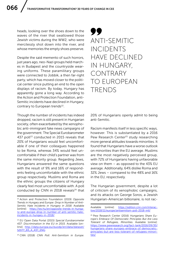heads, looking over the shoes down to the waves of the river that swallowed those Jewish victims during the WW2, who were mercilessly shot down into the river, and whose memories the empty shoes preserve.

Despite the said memento of such horrors, just years ago, neo-Nazi groups held marches in Budapest and the countryside wearing uniforms. These paramilitary groups were connected to Jobbik, a then far-right party, which has moved closer to the political center since putting an end to the open displays of racism. By today, Hungary has apparently gone a long way. According to the Action and Protection Foundation, anti-Semitic incidents have declined in Hungary, contrary to European trends<sup>22</sup>.

Though the number of incidents has indeed dropped, racism is still present in Hungarian society, often exacerbated by the xenophobic anti-immigrant fake news campaigns of the government. The Special Eurobarometer 437 poll<sup>23</sup> conducted in 2015 reveals that 20% of Hungarians would feel uncomfortable if one of their colleagues happened to be Roma, whereas 34% would feel uncomfortable if their child's partner was from the same minority group. Regarding Jews, Hungarians answered the same questions with the result of 9% and 16% of respondents feeling uncomfortable with the ethnic group respectively. Muslims and Roma are the ethnic groups the citizens of Hungary clearly feel most uncomfortable with. A poll conducted by CNN in 2018 reveals<sup>24</sup> that

<sup>24</sup> CNN (2018) *CNN Poll: Anti-Semitism in Europe.* 

99 ANTI-SEMITIC INCIDENTS HAVE DECLINED IN HUNGARY, CONTRARY TO EUROPEAN TRENDS

20% of Hungarians openly admit to being anti-Semitic.

Racism manifests itself in less specific ways, however. This is substantiated by a 2016 Pew Research Center<sup>25</sup> study researching more general attitudes towards minorities. It found that Hungarians have a worse outlook on minorities than the EU average. Muslims are the most negatively perceived group, with 72% of Hungarians having unfavorable view on them – as opposed to the 43% EU average. Additionally, 64% dislike Roma and 32% Jews – compared to the 48% and 16% in the EU, respectively.

The Hungarian government, despite a lot of criticism of its xenophobic campaigns, and its attacks on George Soros, a Jewish Hungarian-American billionaire, is not rac-

<sup>22</sup> Action and Protection Foundation (2019) *Opposite Trends in Hungary and Europe: Drop in Number of Anti-Semitic Hate Incidents in Hungary in 2018.* Available [online]: [https://tev.hu/en/opposite-trends-in-hunga](https://tev.hu/en/opposite-trends-in-hungary-and-europe-drop-in-number-of-anti-semitic-hate-incidents-in-hungary-in-2018/)[ry-and-europe-drop-in-number-of-anti-semitic-hate](https://tev.hu/en/opposite-trends-in-hungary-and-europe-drop-in-number-of-anti-semitic-hate-incidents-in-hungary-in-2018/)[incidents-in-hungary-in-2018/](https://tev.hu/en/opposite-trends-in-hungary-and-europe-drop-in-number-of-anti-semitic-hate-incidents-in-hungary-in-2018/)

<sup>23</sup> EU Open Data Portal (2015) *Special Eurobarometer 437: Discrimination in the EU in 2015.* Available [online]: [http://data.europa.eu/euodp/en/data/dataset/](http://data.europa.eu/euodp/en/data/dataset/S2077_83_4_437_ENG) [S2077\\_83\\_4\\_437\\_ENG](http://data.europa.eu/euodp/en/data/dataset/S2077_83_4_437_ENG)

Available [online]: [https://edition.cnn.com/interac](https://edition.cnn.com/interactive/2018/11/europe/antisemitism-poll-2018-intl/)[tive/2018/11/europe/antisemitism-poll-2018-intl/](https://edition.cnn.com/interactive/2018/11/europe/antisemitism-poll-2018-intl/)

<sup>25</sup> Pew Research Center (2016) *Hungarians Share Europe's Embrace Of Democratic Principles But Are Less Tolerant of Refugees, Minorities.* Available [online]: [https://www.pewresearch.org/fact-tank/2016/09/30/](https://www.pewresearch.org/fact-tank/2016/09/30/hungarians-share-europes-embrace-of-democratic-principles-but-are-less-tolerant-of-refugees-minorities/) [hungarians-share-europes-embrace-of-democratic](https://www.pewresearch.org/fact-tank/2016/09/30/hungarians-share-europes-embrace-of-democratic-principles-but-are-less-tolerant-of-refugees-minorities/)[principles-but-are-less-tolerant-of-refugees-minori](https://www.pewresearch.org/fact-tank/2016/09/30/hungarians-share-europes-embrace-of-democratic-principles-but-are-less-tolerant-of-refugees-minorities/)[ties/](https://www.pewresearch.org/fact-tank/2016/09/30/hungarians-share-europes-embrace-of-democratic-principles-but-are-less-tolerant-of-refugees-minorities/)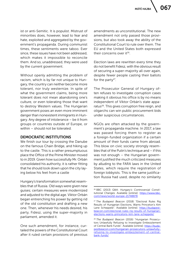ist or anti-Semitic. It is populist. Mistrust of minorities does, however, lead to fear and hate, exploited and aggregated by the government's propaganda. During communist times, these sentiments were taboo. Ever since, these issues have not been addressed, which makes it impossible to reconcile them. And so, unaddressed, they were used by the current government.

Without openly admitting the problem of racism, which is by far not unique to Hungary, the country can neither become more tolerant, nor truly westernize. In spite of what the government claims, being more tolerant does not mean abandoning one's culture, or even tolerating those that want to destroy Western values. The Hungarian government poses an even more imminent danger than nonexistent immigrants in Hungary. Any degree of intolerance – be it from groups or countries outside of Europe, or within – should not be tolerated.

#### DEMOCRATIC INSTITUTIONS

We finish our tour by crossing the Danube on the famous Chain Bridge, and hiking up to the castle. This is a rather presumptuous place the Office of the Prime Minister moved to in 2019. Given how successfully Mr. Orbán consolidated his authority, it is rather fitting that he should look down upon the city laying below his feet from a castle

Hungary's transformation somewhat resembles that of Russia. Old ways were given new guises; certain measures were modernized and adjusted to the digital age. Viktor Orbán began entrenching his power by getting rid of the old constitution and drafting a new one. Then, whenever his needs desired, his party, Fidesz, using the super-majority in parliament, amended it.

One such amendment, for instance, curtailed the powers of the Constitutional Court after it ruled certain provisions of previous

amendments as unconstitutional. The new amendment not only passed those provisions, but also took away the ability of the Constitutional Court to rule over them. The EU and the United States both expressed their concerns over it<sup>26</sup>.

Election laws are rewritten every time they do not benefit Fidesz, with the obvious result of securing a super-majority all over again, despite fewer people casting their ballots for the party<sup>27</sup>.

The Prosecutor General of Hungary often refuses to investigate corruption cases making it obvious his office is by no means independent of Viktor Orbán's state apparatus<sup>28</sup>. This gives corruption free reign, and oligarchs can win public procurement bids under suspicious circumstances.

NGOs are often attacked by the government's propaganda machine. In 2017, a law was passed forcing them to register as a foreign-funded organization if a certain amount of their funds came from abroad. This blow on civic society strongly resembles that of the Putin's technique and – if this was not enough – the Hungarian government justified the much criticized measures by alluding to the FARA laws in the United States, which require the registration of foreign lobbyists. This is the same justification Russia had used, despite no similarity

<sup>26</sup> BBC (2013) Q&A: *Hungary's Controversial Constitutional Changes.* Available [online]: [https://www.bbc.](https://www.bbc.com/news/world-europe-21748878) [com/news/world-europe-21748878](https://www.bbc.com/news/world-europe-21748878)

<sup>27</sup> *The Budapest Beacon* (2018) "Electoral Rules Rig Results of Hungarian Elections, Warns Princeton's Kim Lane Scheppele". Available [online]: [https://budapest](https://budapestbeacon.com/electoral-rules-rig-results-of-hungarian-elections-warns-princetons-kim-lane-scheppele/)[beacon.com/electoral-rules-rig-results-of-hungarian](https://budapestbeacon.com/electoral-rules-rig-results-of-hungarian-elections-warns-princetons-kim-lane-scheppele/)[elections-warns-princetons-kim-lane-scheppele/](https://budapestbeacon.com/electoral-rules-rig-results-of-hungarian-elections-warns-princetons-kim-lane-scheppele/)

<sup>28</sup> *The Budapest Beacon* (2016) "Hungarian Prosecutors Unlawfully Refusing to Investigate Embezzlement of Central Bank Funds". Available [online]: [https://buda](https://budapestbeacon.com/hungarian-prosecutors-unlawfully-refusing-to-investigate-embezzlement-of-central-bank-funds/)[pestbeacon.com/hungarian-prosecutors-unlawfully](https://budapestbeacon.com/hungarian-prosecutors-unlawfully-refusing-to-investigate-embezzlement-of-central-bank-funds/)[refusing-to-investigate-embezzlement-of-central](https://budapestbeacon.com/hungarian-prosecutors-unlawfully-refusing-to-investigate-embezzlement-of-central-bank-funds/)[bank-funds/](https://budapestbeacon.com/hungarian-prosecutors-unlawfully-refusing-to-investigate-embezzlement-of-central-bank-funds/)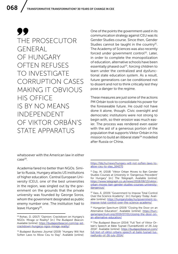99 THE PROSECUTOR GENERAL OF HUNGARY OFTEN REFUSES TO INVESTIGATE CORRUPTION CASES MAKING IT OBVIOUS HIS OFFICE IS BY NO MEANS INDEPENDENT OF VIKTOR ORBÁN'S STATE APPARATUS

whatsoever with the American law in either case29.

Academia fared no better than NGOs. Similar to Russia, Hungary attacks US institutions of higher education. Central European University (CEU), one of the best universities in the region, was singled out by the government on the grounds that the private university was founded by George Soros, whom the government designated as public enemy number one. The institution had to leave Hungary<sup>30</sup>.

One of the points the government used in its communication strategy against CEU was its Gender Studies course. Since then, Gender Studies cannot be taught in the country $31$ . The Academy of Sciences was also recently forced under government control<sup>32</sup>. Later, in order to complete the monopolization of education, alternative schools have been essentially phased out $33$ , forcing children to learn under the centralized and dysfunctional state education system. As a result, future generations can be conditioned not to dissent and not to think critically lest they pose a danger to the regime.

These measures are just some of the actions PM Orbán took to consolidate his power for the foreseeable future. He could not have done it alone, though. Civic oversight and democratic institutions were not strong to begin with, so their erosion was much easier. The process was rendered even easier with the aid of a generous portion of the population that supports Viktor Orbán in his mission to build an illiberal state<sup>34</sup> modelled after Russia or China.

<sup>29</sup> Rohac, D. (2017) "Opinion: Crackdown on Hungary's NGOs: Mirage or Reality? [in:] *The Budapest Beacon*. Available [online]: [https://budapestbeacon.com/op-ed](https://budapestbeacon.com/op-ed-crackdown-hungarys-ngos-mirage-reality/)[crackdown-hungarys-ngos-mirage-reality/](https://budapestbeacon.com/op-ed-crackdown-hungarys-ngos-mirage-reality/)

<sup>30</sup> *Budapest Business Journal* (2019) "Hungary Will Not Soften Laws to Allow Ceu to Stay". Available [online]:

[https://bbj.hu/news/hungary-will-not-soften-laws-to](https://bbj.hu/news/hungary-will-not-soften-laws-to-allow-ceu-to-stay_164270)[allow-ceu-to-stay\\_164270](https://bbj.hu/news/hungary-will-not-soften-laws-to-allow-ceu-to-stay_164270)

<sup>&</sup>lt;sup>31</sup> Day, M. (2018) "Viktor Orban Moves to Ban Gender Studies Courses at University in 'Dangerous Precedent' for Hungary" [in:] *The Telegraph*. Available [online]: [https://www.telegraph.co.uk/news/2018/08/13/viktor](https://www.telegraph.co.uk/news/2018/08/13/viktor-orban-moves-ban-gender-studies-courses-university-dangerous/)[orban-moves-ban-gender-studies-courses-university](https://www.telegraph.co.uk/news/2018/08/13/viktor-orban-moves-ban-gender-studies-courses-university-dangerous/)[dangerous/](https://www.telegraph.co.uk/news/2018/08/13/viktor-orban-moves-ban-gender-studies-courses-university-dangerous/)

<sup>32</sup> Vass, Á. (2019) "Government to Impose Total Control Over the Science Academy". [in:] *Hungary Today.* Available [online]: [https://hungarytoday.hu/government-to](https://hungarytoday.hu/government-to-impose-total-control-over-the-science-academy/)[impose-total-control-over-the-science-academy/](https://hungarytoday.hu/government-to-impose-total-control-over-the-science-academy/)

<sup>33</sup> *Hungarian Spectrum* (2019) "Closing the Door on an Alternative Education", Available [online]: [https://hun](https://hungarianspectrum.org/2019/07/01/closing-the-door-on-an-alternative-education/)[garianspectrum.org/2019/07/01/closing-the-door-on](https://hungarianspectrum.org/2019/07/01/closing-the-door-on-an-alternative-education/)[an-alternative-education/](https://hungarianspectrum.org/2019/07/01/closing-the-door-on-an-alternative-education/)

<sup>34</sup> *The Budapest Beacon* (2014) "Full Text of Viktor Orbán's Speech at Băile Tuşnad (Tusnádfürdő) of 26 July 2014". Available [online]: [https://budapestbeacon.com/](https://budapestbeacon.com/full-text-of-viktor-orbans-speech-at-baile-tusnad-tusnadfurdo-of-26-july-2014/) [full-text-of-viktor-orbans-speech-at-baile-tusnad-tus](https://budapestbeacon.com/full-text-of-viktor-orbans-speech-at-baile-tusnad-tusnadfurdo-of-26-july-2014/)[nadfurdo-of-26-july-2014/](https://budapestbeacon.com/full-text-of-viktor-orbans-speech-at-baile-tusnad-tusnadfurdo-of-26-july-2014/)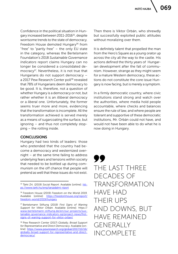Confidence in the political situation in Hungary increased between 2011-2016<sup>35</sup>, despite worrisome trends to the state of democracy. Freedom House demoted Hungary<sup>36</sup> from "free" to "partly free" – the only EU state in the category, whereas the Bertelsmann Foundation's 2018 *Sustainable Governance Indicators* report claims Hungary can no longer be considered a consolidated democracy<sup>37</sup>. Nevertheless, it is not true that Hungarians do not support democracy – a 2017 Pew Research Center poll<sup>38</sup> revealed that 78% of Hungarians deem democracy to be good. It is, therefore, not a question of whether Hungary is a democracy or not, but rather whether it is an *illiberal* democracy or a *liberal* one. Unfortunately, the former seems truer more and more, evidencing that the transformation is incomplete. All the transformation achieved is served merely as a means of sugarcoating the surface, but ignoring – and thus not completely stopping – the rotting inside.

#### CONCLUSIONS

Hungary had two kinds of leaders: those who pretended that the country had become a democracy and westernized overnight – at the same time failing to address underlying fears and tensions within society that needed to be bottled up during communism on the off chance that people will pretend as well that these issues do not exist.

Then there is Viktor Orbán, who shrewdly but successfully exploited public attitudes without moralizing over them.

It is definitely talent that propelled the man from the Hero's Square as a young orator up across the city all the way to the castle. His actions defined the thirty years of Hungarian development after the fall of communism. However, strange as they might seem for a mature Western democracy, these actions do not constitute the core issue Hungary is now facing, but is merely a symptom.

In a firmly democratic country, where civic institutions stand strong and watch over the authorities, where media hold people accountable, where checks and balances ensure the rule of law, and where people are tolerant and supportive of these democratic institutions, Mr. Orbán could not have, and would not have been able to do what he is now doing in Hungary.

99 THE LAST THREE DECADES OF TRANSFORMATION HAVE HAD THEIR UPS AND DOWNS, BUT HAVE REMAINED GENERALLY INCOMPLETE

<sup>35</sup> Tárki Zrt. (2019) *Social Report*. Available [online]: [htt](https://www.tarki.hu/eng/tarsadalmi-riport)[ps://www.tarki.hu/eng/tarsadalmi-riport](https://www.tarki.hu/eng/tarsadalmi-riport)

<sup>36</sup> Freedom House (2019) *Freedom on the World 2019.* Available [online]: [https://freedomhouse.org/report/](https://freedomhouse.org/report/freedom-world/2019/hungary) [freedom-world/2019/hungary](https://freedomhouse.org/report/freedom-world/2019/hungary)

<sup>37</sup> Bertelsmann Stiftung (2019) *First Signs of Waning Support for Viktor Orbán.* Available [online]: https:// [www.bertelsmann-stiftung.de/en/our-projects/sus](http://www.bertelsmann-stiftung.de/en/our-projects/sustainable-governance-indicators-sgi/project-news/first-signs-of-waning-support-for-viktor-orban/)[tainable-governance-indicators-sgi/project-news/first](http://www.bertelsmann-stiftung.de/en/our-projects/sustainable-governance-indicators-sgi/project-news/first-signs-of-waning-support-for-viktor-orban/)[signs-of-waning-support-for-viktor-orban/](http://www.bertelsmann-stiftung.de/en/our-projects/sustainable-governance-indicators-sgi/project-news/first-signs-of-waning-support-for-viktor-orban/)

<sup>38</sup> Pew Research Center (2017) *Globally, Broad Support for Representative and Direct Democracy.* Available [online]: [https://www.pewresearch.org/global/2017/10/16/](https://www.pewresearch.org/global/2017/10/16/globally-broad-support-for-representative-and-direct-democracy/) [globally-broad-support-for-representative-and-direct](https://www.pewresearch.org/global/2017/10/16/globally-broad-support-for-representative-and-direct-democracy/)[democracy/](https://www.pewresearch.org/global/2017/10/16/globally-broad-support-for-representative-and-direct-democracy/)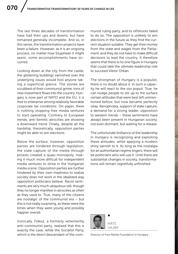The last three decades of transformation have had their ups and downs, but have remained generally incomplete. And so, in this sense, the transformation projects have been a failure. However, as it is an ongoing process, no matter how Sisyphean it might seem, some accomplishments have occurred.

Looking down at the city from the castle, the glistening buildings varnished over the underlying issues would fool anyone taking a superficial glance. The stones are scrubbed of their communist grime, tons of new investment flows into the country. Hungary is now part of NATO and the EU; it is free to enterprise among relatively favorable corporate tax conditions. On paper, there is nothing stopping free media ventures to start operating. Contrary to European trends, anti-Semitic atrocities are showing a downward trend. Finally, despite all the hardship, theoretically, opposition parties might be able to win elections.

Below the surface, however, opposition parties are hindered through legislation, the state capture of the media through proxies created a quasi-monopoly, making it much more difficult for independent media ventures to strive in the Hungarian media scene. Opposition parties are further hindered by their own ineptness to realize society does not work in the idealized way opposition politicians believe. Racist sentiments are very much ubiquitous still, though they no longer manifest in atrocities as often as they used to. True, many of the citizens are nostalgic of the communist era – but this is not really surprising, as these were the times when they were young and possibly happier overall.

Ironically, Fidesz, a formerly vehemently anti-communist party, realized that this is exactly the case, while the Socialist Party, which is the direct descendant of the communist ruling party, and its offshoots failed to do so. The opposition is unlikely to win elections in the future as they find the current situation suitable. They get their money from the state and wages from the Parliament, and they do not have to make difficult decisions to lead the country. It therefore seems that there is no one figure in Hungary that could take the ultimate leadership role to succeed Viktor Orbán.

The strongman of Hungary is a populist, there is no doubt about it. In such a capacity he will react to the *vox populi*. True, he can nudge people to stir up to the surface certain attitudes that were best left unmentioned before, but now became perfectly okay. Xenophobia, support of state capture, a demand for a strong leader, opposition to western trends – these sentiments have always been present in Hungarian society, not even dormant, but waiting for a release.

The unfortunate brilliance of the leadership in Hungary is recognizing and exploiting these attitudes, while applying a modern shiny varnish to it. As long as the nostalgia for an authoritarian regime lingers, there will be politicians who will use it. Until there are substantial changes in society, transformations will remain regretfully unfinished.



Director of Free Market Foundation in Hungary